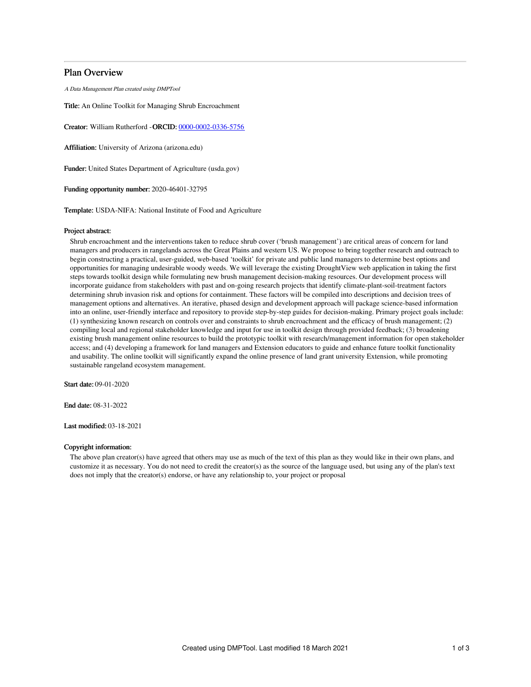# Plan Overview

A Data Management Plan created using DMPTool

Title: An Online Toolkit for Managing Shrub Encroachment

Creator: William Rutherford -ORCID: [0000-0002-0336-5756](https://orcid.org/0000-0002-0336-5756)

Affiliation: University of Arizona (arizona.edu)

Funder: United States Department of Agriculture (usda.gov)

Funding opportunity number: 2020-46401-32795

Template: USDA-NIFA: National Institute of Food and Agriculture

### Project abstract:

Shrub encroachment and the interventions taken to reduce shrub cover ('brush management') are critical areas of concern for land managers and producers in rangelands across the Great Plains and western US. We propose to bring together research and outreach to begin constructing a practical, user-guided, web-based 'toolkit' for private and public land managers to determine best options and opportunities for managing undesirable woody weeds. We will leverage the existing DroughtView web application in taking the first steps towards toolkit design while formulating new brush management decision-making resources. Our development process will incorporate guidance from stakeholders with past and on-going research projects that identify climate-plant-soil-treatment factors determining shrub invasion risk and options for containment. These factors will be compiled into descriptions and decision trees of management options and alternatives. An iterative, phased design and development approach will package science-based information into an online, user-friendly interface and repository to provide step-by-step guides for decision-making. Primary project goals include: (1) synthesizing known research on controls over and constraints to shrub encroachment and the efficacy of brush management; (2) compiling local and regional stakeholder knowledge and input for use in toolkit design through provided feedback; (3) broadening existing brush management online resources to build the prototypic toolkit with research/management information for open stakeholder access; and (4) developing a framework for land managers and Extension educators to guide and enhance future toolkit functionality and usability. The online toolkit will significantly expand the online presence of land grant university Extension, while promoting sustainable rangeland ecosystem management.

Start date: 09-01-2020

End date: 08-31-2022

Last modified: 03-18-2021

## Copyright information:

The above plan creator(s) have agreed that others may use as much of the text of this plan as they would like in their own plans, and customize it as necessary. You do not need to credit the creator(s) as the source of the language used, but using any of the plan's text does not imply that the creator(s) endorse, or have any relationship to, your project or proposal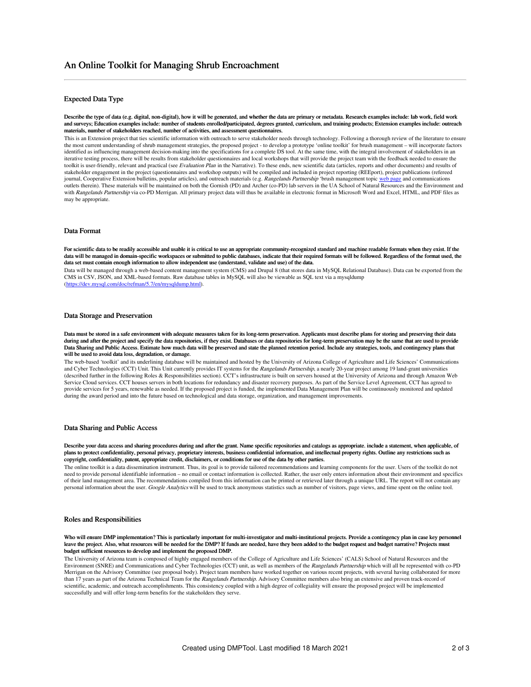# Expected Data Type

Describe the type of data (e.g. digital, non-digital), how it will be generated, and whether the data are primary or metadata. Research examples include: lab work, field work and surveys; Education examples include: number of students enrolled/participated, degrees granted, curriculum, and training products; Extension examples include: outreach materials, number of stakeholders reached, number of activities, and assessment questionnaires.

This is an Extension project that ties scientific information with outreach to serve stakeholder needs through technology. Following a thorough review of the literature to ensure the most current understanding of shrub management strategies, the proposed project - to develop a prototype 'online toolkit' for brush management – will incorporate factors identified as influencing management decision-making into the specifications for a complete DS tool. At the same time, with the integral involvement of stakeholders in an iterative testing process, there will be results from stakeholder questionnaires and local workshops that will provide the project team with the feedback needed to ensure the toolkit is user-friendly, relevant and practical (see Evaluation Plan in the Narrative). To these ends, new scientific data (articles, reports and other documents) and results of stakeholder engagement in the project (questionnaires and workshop outputs) will be compiled and included in project reporting (REEport), project publications (refereed journal, Cooperative Extension bulletins, popular articles), and outreach materials (e.g. Rangelands Partnership 'brush management topic web [page](https://globalrangelands.org/brush-management-0) and communications outlets therein). These materials will be maintained on both the Gornish (PD) and Archer (co-PD) lab servers in the UA School of Natural Resources and the Environment and with Rangelands Partnership via co-PD Merrigan. All primary project data will thus be available in electronic format in Microsoft Word and Excel, HTML, and PDF files as may be appropriate.

#### Data Format

For scientific data to be readily accessible and usable it is critical to use an appropriate community-recognized standard and machine readable formats when they exist. If the data will be managed in domain-specific workspaces or submitted to public databases, indicate that their required formats will be followed. Regardless of the format used, the data set must contain enough information to allow independent use (understand, validate and use) of the data.

Data will be managed through a web-based content management system (CMS) and Drupal 8 (that stores data in MySQL Relational Database). Data can be exported from the CMS in CSV, JSON, and XML-based formats. Raw database tables in MySQL will also be viewable as SQL text via a mysqldump [\(https://dev.mysql.com/doc/refman/5.7/en/mysqldump.html](https://dev.mysql.com/doc/refman/5.7/en/mysqldump.html)).

#### Data Storage and Preservation

Data must be stored in a safe environment with adequate measures taken for its long-term preservation. Applicants must describe plans for storing and preserving their data during and after the project and specify the data repositories, if they exist. Databases or data repositories for long-term preservation may be the same that are used to provide Data Sharing and Public Access. Estimate how much data will be preserved and state the planned retention period. Include any strategies, tools, and contingency plans that will be used to avoid data loss, degradation, or damage.

The web-based 'toolkit' and its underlining database will be maintained and hosted by the University of Arizona College of Agriculture and Life Sciences' Communications and Cyber Technologies (CCT) Unit. This Unit currently provides IT systems for the Rangelands Partnership, a nearly 20-year project among 19 land-grant universities (described further in the following Roles & Responsibilities section). CCT's infrastructure is built on servers housed at the University of Arizona and through Amazon Web Service Cloud services. CCT houses servers in both locations for redundancy and disaster recovery purposes. As part of the Service Level Agreement, CCT has agreed to provide services for 5 years, renewable as needed. If the proposed project is funded, the implemented Data Management Plan will be continuously monitored and updated during the award period and into the future based on technological and data storage, organization, and management improvements.

### Data Sharing and Public Access

Describe your data access and sharing procedures during and after the grant. Name specific repositories and catalogs as appropriate. include a statement, when applicable, of plans to protect confidentiality, personal privacy, proprietary interests, business confidential information, and intellectual property rights. Outline any restrictions such as copyright, confidentiality, patent, appropriate credit, disclaimers, or conditions for use of the data by other parties.

The online toolkit is a data dissemination instrument. Thus, its goal is to provide tailored recommendations and learning components for the user. Users of the toolkit do not need to provide personal identifiable information – no email or contact information is collected. Rather, the user only enters information about their environment and specifics of their land management area. The recommendations compiled from this information can be printed or retrieved later through a unique URL. The report will not contain any personal information about the user. Google Analytics will be used to track anonymous statistics such as number of visitors, page views, and time spent on the online tool.

#### Roles and Responsibilities

#### Who will ensure DMP implementation? This is particularly important for multi-investigator and multi-institutional projects. Provide a contingency plan in case key personnel leave the project. Also, what resources will be needed for the DMP? If funds are needed, have they been added to the budget request and budget narrative? Projects must budget sufficient resources to develop and implement the proposed DMP.

The University of Arizona team is composed of highly engaged members of the College of Agriculture and Life Sciences' (CALS) School of Natural Resources and the Environment (SNRE) and Communications and Cyber Technologies (CCT) unit, as well as members of the Rangelands Partnership which will all be represented with co-PD Merrigan on the Advisory Committee (see proposal body). Project team members have worked together on various recent projects, with several having collaborated for more than 17 years as part of the Arizona Technical Team for the Rangelands Partnership. Advisory Committee members also bring an extensive and proven track-record of scientific, academic, and outreach accomplishments. This consistency coupled with a high degree of collegiality will ensure the proposed project will be implemented successfully and will offer long-term benefits for the stakeholders they serve.